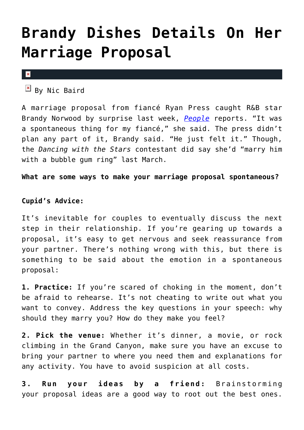## **[Brandy Dishes Details On Her](https://cupidspulse.com/43398/brandy-details-marriage-proposal/) [Marriage Proposal](https://cupidspulse.com/43398/brandy-details-marriage-proposal/)**

 $\pmb{\times}$ 

 $B$ y Nic Baird

A marriage proposal from fiancé Ryan Press caught R&B star Brandy Norwood by surprise last week, *[People](http://www.people.com/people/article/0,,20660648,00.html)* reports. "It was a spontaneous thing for my fiancé," she said. The press didn't plan any part of it, Brandy said. "He just felt it." Though, the *Dancing with the Stars* contestant did say she'd "marry him with a bubble gum ring" last March.

**What are some ways to make your marriage proposal spontaneous?**

## **Cupid's Advice:**

It's inevitable for couples to eventually discuss the next step in their relationship. If you're gearing up towards a proposal, it's easy to get nervous and seek reassurance from your partner. There's nothing wrong with this, but there is something to be said about the emotion in a spontaneous proposal:

**1. Practice:** If you're scared of choking in the moment, don't be afraid to rehearse. It's not cheating to write out what you want to convey. Address the key questions in your speech: why should they marry you? How do they make you feel?

**2. Pick the venue:** Whether it's dinner, a movie, or rock climbing in the Grand Canyon, make sure you have an excuse to bring your partner to where you need them and explanations for any activity. You have to avoid suspicion at all costs.

**3. Run your ideas by a friend:** Brainstorming your proposal ideas are a good way to root out the best ones.